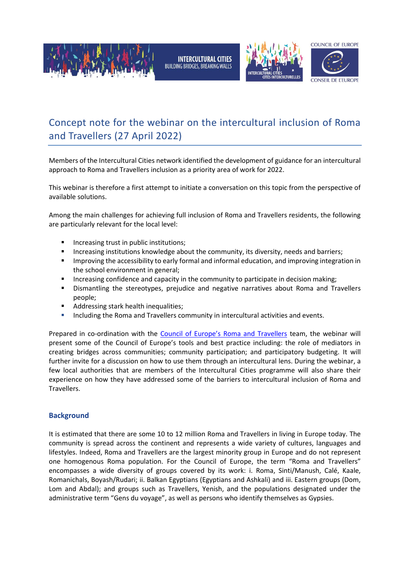







COUNCIL OF FUROPE

## Concept note for the webinar on the intercultural inclusion of Roma and Travellers (27 April 2022)

Members of the Intercultural Cities network identified the development of guidance for an intercultural approach to Roma and Travellers inclusion as a priority area of work for 2022.

This webinar is therefore a first attempt to initiate a conversation on this topic from the perspective of available solutions.

Among the main challenges for achieving full inclusion of Roma and Travellers residents, the following are particularly relevant for the local level:

- Increasing trust in public institutions;
- **Increasing institutions knowledge about the community, its diversity, needs and barriers;**
- **IMP** Improving the accessibility to early formal and informal education, and improving integration in the school environment in general;
- **Increasing confidence and capacity in the community to participate in decision making;**
- Dismantling the stereotypes, prejudice and negative narratives about Roma and Travellers people;
- Addressing stark health inequalities;
- **Including the Roma and Travellers community in intercultural activities and events.**

Prepared in co-ordination with the [Council of Europe's Roma and Travellers](https://www.coe.int/en/web/roma-and-travellers) team, the webinar will present some of the Council of Europe's tools and best practice including: the role of mediators in creating bridges across communities; community participation; and participatory budgeting. It will further invite for a discussion on how to use them through an intercultural lens. During the webinar, a few local authorities that are members of the Intercultural Cities programme will also share their experience on how they have addressed some of the barriers to intercultural inclusion of Roma and Travellers.

## **Background**

It is estimated that there are some 10 to 12 million Roma and Travellers in living in Europe today. The community is spread across the continent and represents a wide variety of cultures, languages and lifestyles. Indeed, Roma and Travellers are the largest minority group in Europe and do not represent one homogenous Roma population. For the Council of Europe, the term "Roma and Travellers" encompasses a wide diversity of groups covered by its work: i. Roma, Sinti/Manush, Calé, Kaale, Romanichals, Boyash/Rudari; ii. Balkan Egyptians (Egyptians and Ashkali) and iii. Eastern groups (Dom, Lom and Abdal); and groups such as Travellers, Yenish, and the populations designated under the administrative term "Gens du voyage", as well as persons who identify themselves as Gypsies.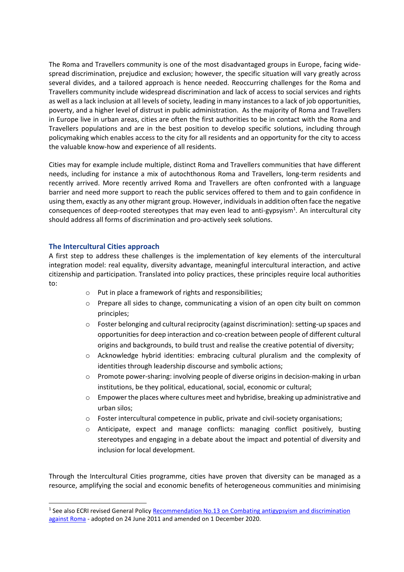The Roma and Travellers community is one of the most disadvantaged groups in Europe, facing widespread discrimination, prejudice and exclusion; however, the specific situation will vary greatly across several divides, and a tailored approach is hence needed. Reoccurring challenges for the Roma and Travellers community include widespread discrimination and lack of access to social services and rights as well as a lack inclusion at all levels of society, leading in many instances to a lack of job opportunities, poverty, and a higher level of distrust in public administration. As the majority of Roma and Travellers in Europe live in urban areas, cities are often the first authorities to be in contact with the Roma and Travellers populations and are in the best position to develop specific solutions, including through policymaking which enables access to the city for all residents and an opportunity for the city to access the valuable know-how and experience of all residents.

Cities may for example include multiple, distinct Roma and Travellers communities that have different needs, including for instance a mix of autochthonous Roma and Travellers, long-term residents and recently arrived. More recently arrived Roma and Travellers are often confronted with a language barrier and need more support to reach the public services offered to them and to gain confidence in using them, exactly as any other migrant group. However, individuals in addition often face the negative consequences of deep-rooted stereotypes that may even lead to anti-gypsyism<sup>1</sup>. An intercultural city should address all forms of discrimination and pro-actively seek solutions.

## **The Intercultural Cities approach**

-

A first step to address these challenges is the implementation of key elements of the intercultural integration model: real equality, diversity advantage, meaningful intercultural interaction, and active citizenship and participation. Translated into policy practices, these principles require local authorities to:

- o Put in place a framework of rights and responsibilities;
- o Prepare all sides to change, communicating a vision of an open city built on common principles;
- o Foster belonging and cultural reciprocity (against discrimination): setting-up spaces and opportunities for deep interaction and co-creation between people of different cultural origins and backgrounds, to build trust and realise the creative potential of diversity;
- o Acknowledge hybrid identities: embracing cultural pluralism and the complexity of identities through leadership discourse and symbolic actions;
- o Promote power-sharing: involving people of diverse origins in decision-making in urban institutions, be they political, educational, social, economic or cultural;
- o Empower the places where cultures meet and hybridise, breaking up administrative and urban silos;
- o Foster intercultural competence in public, private and civil-society organisations;
- o Anticipate, expect and manage conflicts: managing conflict positively, busting stereotypes and engaging in a debate about the impact and potential of diversity and inclusion for local development.

Through the Intercultural Cities programme, cities have proven that diversity can be managed as a resource, amplifying the social and economic benefits of heterogeneous communities and minimising

<sup>&</sup>lt;sup>1</sup> See also ECRI revised General Policy Recommendation No.13 on Combating antigypsyism and discrimination [against Roma](https://www.coe.int/web/european-commission-against-racism-and-intolerance/recommendation-no.13) - adopted on 24 June 2011 and amended on 1 December 2020.